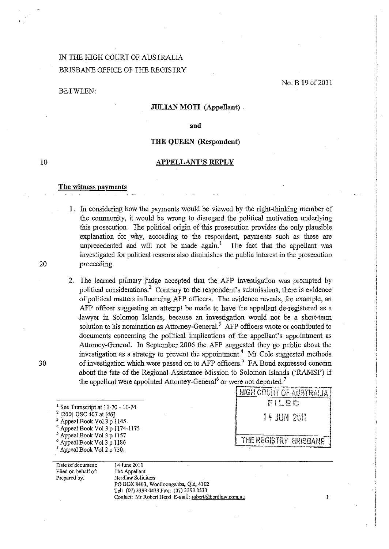# IN THE HIGH COURT OF AUSTRALIA BRISBANE OFFICE OF THE REGISTRY

### BETWEEN:

No. B 19 of 2011

 $\mathbf{I}$ 

### JULIAN MOTI (Appellant).

and

### THE QUEEN (Respondent)

#### APPELLANT'S REPLY

#### The witness payments

Date of document: Filed on behalf of: Prepared by:

I. In considering how the payments would be viewed by the right-thinking member of the community, it would be wrong to disregard the political motivation underlying this prosecution. The political origin of this prosecution provides the only plausible explanation for why, according to the respondent, payments such as these are unprecedented and will not be made  $again<sup>1</sup>$ . The fact that the appellant was investigated for political reasons also diminishes the public interest in the prosecution 20 proceeding.

2.. The learned primary judge accepted that the AFP investigation was prompted by political considerations.<sup>2</sup> Contrary to the respondent's submissions, there is evidence of political matters influencing AFP officers.. The evidence reveals, fot example, an AFP officer suggesting an attempt be made to have the appellant de-registered as a lawyer in Solomon Islands, because an investigation would not be a short-term solution to his nomination as Attorney-General. $3$  AFP officers wrote or contributed to documents concerning the political implications of the appellant's appointment as Attorney-General. In September 2006 the AFP suggested they go public about the investigation as a strategy to prevent the appointment.<sup>4</sup> Mr Cole suggested methods 30 of investigation which were passed on to AFP officers.<sup>5</sup> FA Bond expressed concern about the fate of the Regional Assistance Mission to Solomon Islands ('RAMSI') if the appellant were appointed Attorney-General<sup>6</sup> or were not deported.<sup>7</sup>

|                                                                                                                                                                                                           | <b>HIGH COURT OF AUSTRALIA</b> |
|-----------------------------------------------------------------------------------------------------------------------------------------------------------------------------------------------------------|--------------------------------|
| <sup>1</sup> See Transcript at $11-70 - 11-74$                                                                                                                                                            | FILED                          |
| $2$ [200] QSC 407 at [46].<br>$3$ Appeal Book Vol 3 p 1145.<br>$4$ Appeal Book Vol 3 p 1174-1175.<br><sup>5</sup> Appeal Book Vol 3 p 1157<br>$6$ Appeal Book Vol 3 p 1186<br>Appeal Book Vol 2 p $730$ . | 14 JUN 2011                    |
|                                                                                                                                                                                                           | THE REGISTRY BRISBANE          |

14 June2011 The Appellant Herdlaw Solicitors PO BOX 8403, Woolloongabba, Qld, 4102 T el: (07) 3393 0433 Fax: (07) 3393 0533 Contact: Mr Robert Herd E-mail: robert@herdlaw.com.au

10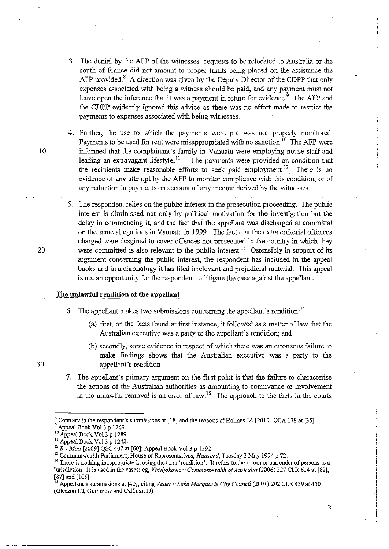- 3. The denial by the AFP of the witnesses' requests to be relocated to Australia or the south of France did not amount to proper limits being placed on the assistance the AFP provided. $8$  A direction was given by the Deputy Director of the CDPP that only expenses associated with being a witness should be paid, and any payment must not leave open the inference that it was a payment in return for evidence.<sup>9</sup> The AFP and theCDPP evidently ignored this advice as there was no effort made to restrict the payments to expenses associated with being witnesses.
- 4. Further, the use to which the payments were put was not properly monitored Payments to be used for rent were misappropriated with no sanction.<sup> $[0]$ </sup> The AFP were 10 informed that the complainant's family in Vanuatu were employing house staff and leading an extravagant lifestyle.<sup>11</sup> The payments were provided on condition that the recipients make reasonable efforts to seek paid employment  $12$ . There is no evidence of any attempt by the AFP to monitor compliance with this condition, or of any reduction in payments on account of any income derived by the witnesses
- 5, The respondent relies on the public interest in the prosecution proceeding. The public interest is diminished not only by political motivation for the investigation but the delay in commencing it, and the fact that the appellant was discharged at committal on the same allegations in Vanuatu in 1999.. The fact that the extratenitorial offences charged were desgined to cover offences not prosecuted in the country in which they 20 were committed is also relevant to the public interest  $^{13}$  Ostensibly in support of its argurnent concerning the public interest, the respondent has included in the appeal books and in a chronology it has filed irrelevant and prejudicial material. This appeal is not an opportunity for the respondent to litigate the case against the appellant.

### **The unlawful rendition of the appellant**

- 6. The appellant makes two submissions concerning the appellant's rendition:  $<sup>14</sup>$ </sup>
	- Ca) first, on the facts found at first instance, it followed as a matter of law that the Australian executive was a party to the appellant's rendition; and
	- (b) secondly, some evidence in respect of which there was an enoneous failure to make findings' shows that the Australian executive was a party to the appellant's rendition.
- 7. The appellant's primary argument on the first point is that the failure to characterise the actions of the Australian authorities as amounting to connivance or involvement in the unlawful removal is an error of law.<sup>15</sup> The approach to the facts in the courts

30

2

Contrary to the respondent's submissions at [18] and the reasons of Holmes IA [2010] QCA 178 at [35]

<sup>&</sup>lt;sup>9</sup> Appeal Book Vol 3 p 1249.

<sup>10</sup> Appeal Book Vol 3 p 1289

<sup>&</sup>lt;sup>11</sup> Appeal Book Vol 3 p 1242.

<sup>&</sup>lt;sup>12</sup>R v Moti [2009] QSC 407 at [60]; Appeal Book Vol 3 p 1292.

<sup>&</sup>lt;sup>13</sup> Commonwealth Parliament, House of Representatives, *Hansard*, Tuesday 3 May 1994 p 72.

<sup>&</sup>lt;sup>14</sup> There is nothing inappropriate in using the term 'rendition'. It refers to the return or surrender of persons to a jurisdiction. It is used in the cases: eg, *Vasiljokovic v Commonwealth of Australia* (2006) 227 CLR 614 at [82], [87] and [105] l' Appellant's submissions at [40], citing *Velte!* v *Lake Macquarie City Council* (2001) 202 CLR 439 at 450

<sup>(</sup>Gleeson CI, Gummow and Callinan JJ)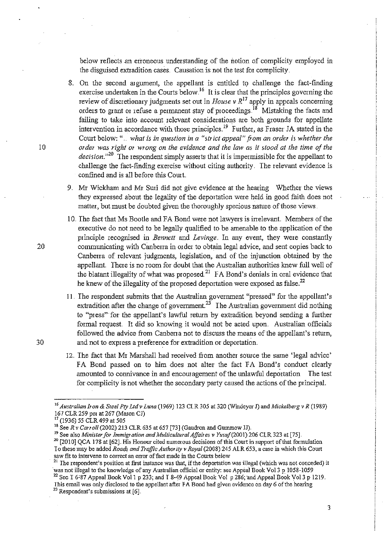below reflects an erroneous understanding of the notion of complicity employed in the disguised extradition cases Causation is not the test for complicity.

- 8. On the second argument, the appellant is entitled to challenge the fact-finding exercise undertaken in the Courts below.<sup>16</sup> It is clear that the principles governing the review of discretionary judgments set out in *House v R*<sup>17</sup> apply in appeals concerning orders to grant or refuse a permanent stay of proceedings.<sup>18</sup> Mistaking the facts and failing to take into account relevant considerations are both grounds for appellate intervention in accordance with those principles.<sup>19</sup> Further, as Fraser JA stated in the Court below: ". *what is in question in a "strict appeal" from an order* is *whether the*  10 *order was right or wrong on the evidence and the law as it stood at the time of the*  decision.<sup>320</sup> The respondent simply asserts that it is impermissible for the appellant to challenge the fact-finding exercise without citing authority. The relevant evidence is confined and is all before this Court.
	- 9. Mr Wickham and Mr Suri did not give evidence at the hearing Whether the views they expressed about the legality of the deportation were held in good faith does not matter, but must be doubted given the thoroughly specious nature of those views.
- 10. The fact that Ms Bootle and FA Bond were not lawyers is inelevant. Members of the executive do not need to be legally qualified to be amenable to the application of the principle recognised in *Bennett* and *Levinge ..* In any event, they were constantly 20 commnnicating with Canberra in order to obtain legal advice, and sent copies back to Canbena of relevant judgments, legislation, and of the injunction obtained by the appellant. There is no room for doubt that the Australian authorities knew full well of the blatant illegality of what was proposed.<sup>21</sup> FA Bond's denials in oral evidence that he knew of the illegality of the proposed deportation were exposed as false.<sup>22</sup>
- 11. The respondent submits that the Australian government "pressed" for the appellant's extradition after the change of government.<sup>23</sup> The Australian government did nothing to "press" for the appellant's lawful return by extradition beyond sending a further formal request It did so knowing it would not be acted upon. Australian officials followed the advice from Canbena not to discuss the means of the appellant's retum, 30 and not to express a preference for extradition or deportation.
	- 12. The fact that Mr Marshall had received from another source the same 'legal advice' FA Bond passed on to him does not alter the fact FA Bond's conduct clearly amounted to connivance in and encouragement of the unlawful deportation The test for complicity is not whether the secondary party caused the actions of the principal.

<sup>&</sup>lt;sup>16</sup> Australian Iron & Steel Pty Ltd v Luna (1969) 123 CLR 305 at 320 (Windeyer J) and Mickelberg v R (1989) 167 CLR 259 per at 267 *(Mason* CJ)

<sup>(1936) 55</sup> CLR 499 at 505

<sup>18</sup> See *R* v *Carroll* (2002) 213 CLR 635 at 657 [73] (Gaudron and Gummow IJ).

<sup>&</sup>lt;sup>19</sup> See also *Minister for Immigration and Multicultural Affaires v Yusuf* (2001) 206 CLR 323 at [75].

<sup>&</sup>lt;sup>20</sup> [2010] QCA 178 at [62]. His Honour cited numerous decisions of this Court in support of that formulation 10 these may be added *Roa!js and Traffic AurhOt iry* v *Royal* (2008) 245 AlR 653, a case in which this Court saw fit to intervene to correct an error of fact made in the Courts below

The respondent's position at first instance was that, if the deportation was illegal (which was not conceded) it 'was not illegal to the knowledge of any Ausltalian official or entity: see Appeal Book Vol3 p. 1058-1059

<sup>&</sup>lt;sup>22</sup> See I 6-87 Appeal Book Vol 1 p 233; and I 8-49 Appeal Book Vol p 286; and Appeal Book Vol 3 p 1219. This email was only disclosed to the appellant after FA Bond had given evidence on day 6 of the hearing  $^{23}$  Respondent's submissions at [6].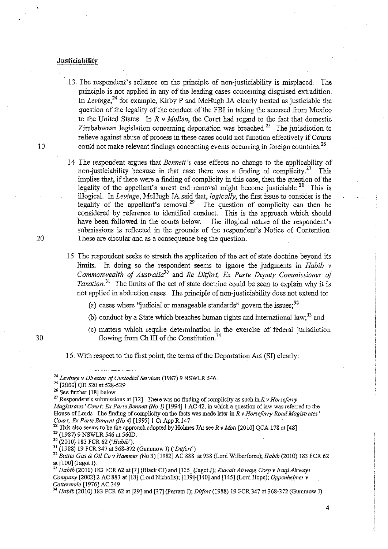### **Justiciability**

- 13. The respondent's reliance on the principle of non-justiciability is misplaced. The principle is not applied in any of the leading cases concerning disguised extradition. In *Levinge*,  $^{24}$  for example, Kirby P and McHugh JA clearly treated as justiciable the question of the legality of the conduct of the FBI in taking the accused from Mexico to the United States. In  $R \vee M$ ullen, the Court had regard to the fact that domestic Zimbabwean legislation concerning deportation was breached.<sup>25</sup> The jurisdiction to relieve against abuse of process in these cases could not function effectively if Courts 10 could not make relevant findings concerning events occurring in foreign countries.<sup>26</sup>
- 14. The respondent argues that *Bennett's* case effects no change to the applicability of non-justiciability because in that case there was a finding of complicity.<sup>27</sup> This implies that, if there were a finding of complicity in this case, then the question of the legality of the appellant's arrest and removal might become justiciable  $^{28}$  This is illogical. In *Levinge*, McHugh JA said that, *logically*, the first issue to consider is the legality of the appellant's removal.<sup>29</sup> The question of complicity can then be The question of complicity can then be considered by reference to identified conduct. This is the approach which should have been followed in the courts below. The illogical nature of the respondent's have been followed in the courts below. submissions is reflected in the grounds of the respondent's Notice of Contention 20 These are circular and as a consequence beg the question.
	- 15. The respondent seeks to stretch the application of the act of state doctrine beyond its limits. In doing so the respondent seems to ignore the judgments in *Habib* v *Commonwealth of Australia*<sup>30</sup> and *Re Ditfort, Ex Parte Deputy Commissioner of Taxation*<sup>31</sup> The limits of the act of state doctrine could be seen to explain why it is not applied in abduction cases. The principle of non-justiciability does not extend to:
		- (a) cases where "judicial or manageable standards" govern the issues;<sup>32</sup>
		- (b) conduct by a State which breaches human rights and international law;<sup>33</sup> and
		- (c) matters which require determination in the exercise of federal jurisdiction flowing from Ch III of the Constitution. $34$

16. With respect to the first point, the terms of the Deportation Act (SI) clearly:

 $26$  See further [18] below.

30

<sup>27</sup> Respondent's submissions at [32] There was no finding of complicity as such in  $R \nu$  Horseferry *Magistrates' Court; Ex Parte Bennett (No I)* [1994]1 AC 42, in which a question of law wasrefelred *to* the House of Lords The finding of complicity on the facts was made later in *R v Horseferry Road Magistrates' Court*; *Ex Parte Bennett (No 4)* [1995] 1 Cr App R 147 *Court; Ex Parte Bennett (No 4)* [1995] 1 Cr App R 147<br>
<sup>24</sup> Levinge v Director of Custodial Services (1987) 9 NSWLR 546.<br>
<sup>27</sup> See further [18] below.<br>
<sup>27</sup> Respondent's submissions at [32] There was no finding of complic

## <sup>28</sup> This also seems to be the approach adopted by Holmes JA: see *R v Moti* [2010] QCA 178 at [48]

<sup>&</sup>lt;sup>24</sup> Levinge v Director of Custodial Services (1987) 9 NSWLR 546.

<sup>&</sup>lt;sup>25</sup> [2000] QB 520 at 528-529

<sup>29 (1987) 9</sup> NSWLR 546 at 560D. <sup>30</sup> (2010) 183 FCR 62 ('Habib').

<sup>&</sup>lt;sup>31</sup> (1988) 19 FCR 347 at 368-372 *(Gummow I) ('Ditfort')* 

<sup>32</sup>*Buttes Gas* & *Oil Co* v *Hammer (No* 3) [1982] AC 888 at 938 (Lord Wilberfor~e); *Habib* (2010) 183 FCR 62 at  $[100]$  (Jagot J).

<sup>&</sup>lt;sup>33</sup> Habib (2010) 183 FCR 62 at [7] (Black CJ) and [135] (Jagot J); *Kuwait Airways Corp v Iraqi Airways Company* [2002]2 AC 883 at [18] (Lord Nicholls); [139]-[140] and [145] (Lord Hope); *Oppenheimet* v Cattermole [1976] AC 249

*<sup>34</sup> HaMb* (2010) 183 FCR 62 at [29] and [37] (Perram J); *Ditfort* (1988) 19 FCR 347 at 368-372 (Gummow T)